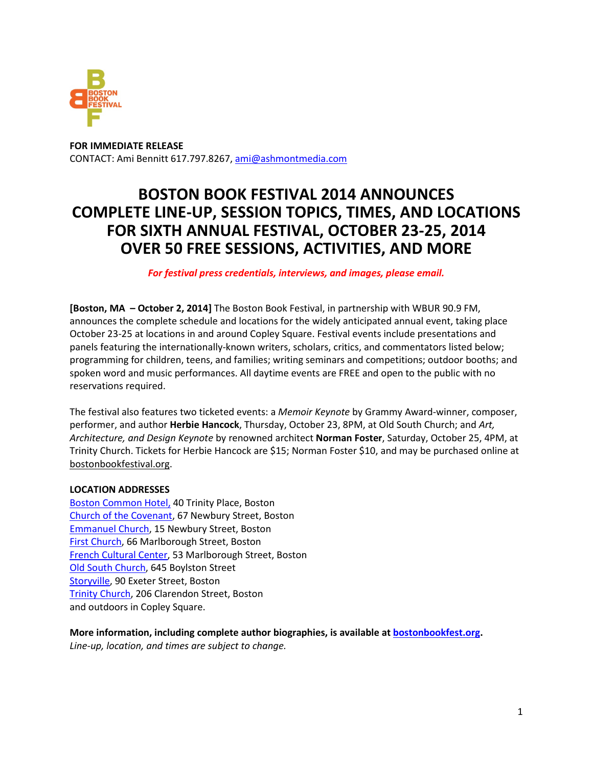

**FOR IMMEDIATE RELEASE** CONTACT: Ami Bennitt 617.797.8267, ami@ashmontmedia.com

# **BOSTON BOOK FESTIVAL 2014 ANNOUNCES COMPLETE LINE-UP, SESSION TOPICS, TIMES, AND LOCATIONS FOR SIXTH ANNUAL FESTIVAL, OCTOBER 23-25, 2014 OVER 50 FREE SESSIONS, ACTIVITIES, AND MORE**

#### *For festival press credentials, interviews, and images, please email.*

**[Boston, MA – October 2, 2014]** The Boston Book Festival, in partnership with WBUR 90.9 FM, announces the complete schedule and locations for the widely anticipated annual event, taking place October 23-25 at locations in and around Copley Square. Festival events include presentations and panels featuring the internationally-known writers, scholars, critics, and commentators listed below; programming for children, teens, and families; writing seminars and competitions; outdoor booths; and spoken word and music performances. All daytime events are FREE and open to the public with no reservations required.

The festival also features two ticketed events: a *Memoir Keynote* by Grammy Award-winner, composer, performer, and author **Herbie Hancock**, Thursday, October 23, 8PM, at Old South Church; and *Art, Architecture, and Design Keynote* by renowned architect **Norman Foster**, Saturday, October 25, 4PM, at Trinity Church. Tickets for Herbie Hancock are \$15; Norman Foster \$10, and may be purchased online at bostonbookfestival.org.

#### **LOCATION ADDRESSES**

Boston Common Hotel, 40 Trinity Place, Boston Church of the Covenant, 67 Newbury Street, Boston Emmanuel Church, 15 Newbury Street, Boston First Church, 66 Marlborough Street, Boston French Cultural Center, 53 Marlborough Street, Boston Old South Church, 645 Boylston Street Storyville, 90 Exeter Street, Boston Trinity Church, 206 Clarendon Street, Boston and outdoors in Copley Square.

**More information, including complete author biographies, is available at bostonbookfest.org.**  *Line-up, location, and times are subject to change.*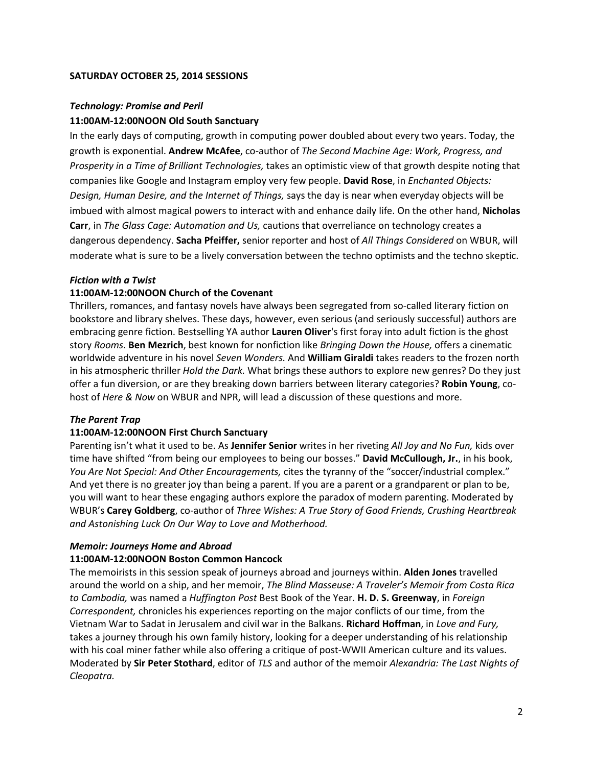#### **SATURDAY OCTOBER 25, 2014 SESSIONS**

#### *Technology: Promise and Peril*

#### **11:00AM-12:00NOON Old South Sanctuary**

In the early days of computing, growth in computing power doubled about every two years. Today, the growth is exponential. **Andrew McAfee**, co-author of *The Second Machine Age: Work, Progress, and Prosperity in a Time of Brilliant Technologies,* takes an optimistic view of that growth despite noting that companies like Google and Instagram employ very few people. **David Rose**, in *Enchanted Objects: Design, Human Desire, and the Internet of Things,* says the day is near when everyday objects will be imbued with almost magical powers to interact with and enhance daily life. On the other hand, **Nicholas Carr**, in *The Glass Cage: Automation and Us,* cautions that overreliance on technology creates a dangerous dependency. **Sacha Pfeiffer,** senior reporter and host of *All Things Considered* on WBUR, will moderate what is sure to be a lively conversation between the techno optimists and the techno skeptic.

#### *Fiction with a Twist*

#### **11:00AM-12:00NOON Church of the Covenant**

Thrillers, romances, and fantasy novels have always been segregated from so-called literary fiction on bookstore and library shelves. These days, however, even serious (and seriously successful) authors are embracing genre fiction. Bestselling YA author **Lauren Oliver**'s first foray into adult fiction is the ghost story *Rooms*. **Ben Mezrich**, best known for nonfiction like *Bringing Down the House,* offers a cinematic worldwide adventure in his novel *Seven Wonders.* And **William Giraldi** takes readers to the frozen north in his atmospheric thriller *Hold the Dark.* What brings these authors to explore new genres? Do they just offer a fun diversion, or are they breaking down barriers between literary categories? **Robin Young**, cohost of *Here & Now* on WBUR and NPR, will lead a discussion of these questions and more.

#### *The Parent Trap*

#### **11:00AM-12:00NOON First Church Sanctuary**

Parenting isn't what it used to be. As **Jennifer Senior** writes in her riveting *All Joy and No Fun,* kids over time have shifted "from being our employees to being our bosses." **David McCullough, Jr.**, in his book, *You Are Not Special: And Other Encouragements,* cites the tyranny of the "soccer/industrial complex." And yet there is no greater joy than being a parent. If you are a parent or a grandparent or plan to be, you will want to hear these engaging authors explore the paradox of modern parenting. Moderated by WBUR's **Carey Goldberg**, co-author of *Three Wishes: A True Story of Good Friends, Crushing Heartbreak and Astonishing Luck On Our Way to Love and Motherhood.* 

#### *Memoir: Journeys Home and Abroad*

#### **11:00AM-12:00NOON Boston Common Hancock**

The memoirists in this session speak of journeys abroad and journeys within. **Alden Jones** travelled around the world on a ship, and her memoir, *The Blind Masseuse: A Traveler's Memoir from Costa Rica to Cambodia,* was named a *Huffington Post* Best Book of the Year. **H. D. S. Greenway**, in *Foreign Correspondent,* chronicles his experiences reporting on the major conflicts of our time, from the Vietnam War to Sadat in Jerusalem and civil war in the Balkans. **Richard Hoffman**, in *Love and Fury,* takes a journey through his own family history, looking for a deeper understanding of his relationship with his coal miner father while also offering a critique of post-WWII American culture and its values. Moderated by **Sir Peter Stothard**, editor of *TLS* and author of the memoir *Alexandria: The Last Nights of Cleopatra.*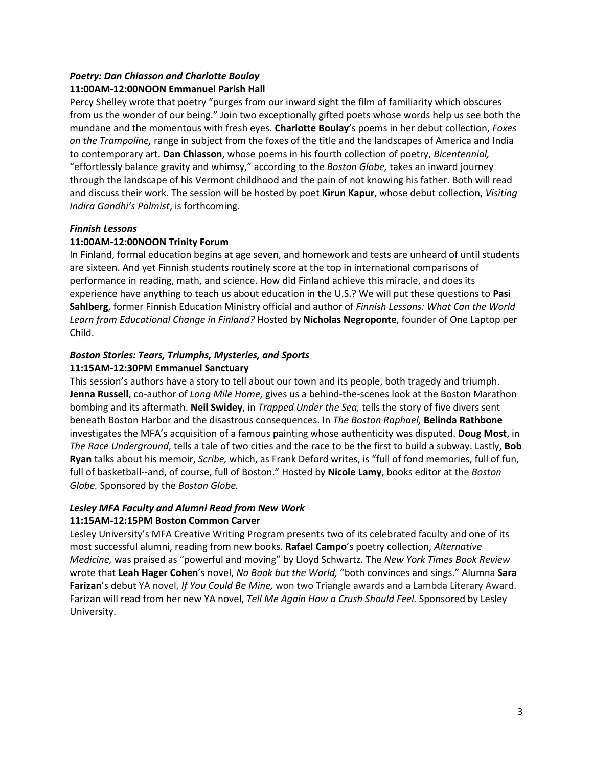# *Poetry: Dan Chiasson and Charlotte Boulay*

# **11:00AM-12:00NOON Emmanuel Parish Hall**

Percy Shelley wrote that poetry "purges from our inward sight the film of familiarity which obscures from us the wonder of our being." Join two exceptionally gifted poets whose words help us see both the mundane and the momentous with fresh eyes. **Charlotte Boulay**'s poems in her debut collection, *Foxes on the Trampoline,* range in subject from the foxes of the title and the landscapes of America and India to contemporary art. **Dan Chiasson**, whose poems in his fourth collection of poetry, *Bicentennial,* "effortlessly balance gravity and whimsy," according to the *Boston Globe,* takes an inward journey through the landscape of his Vermont childhood and the pain of not knowing his father. Both will read and discuss their work. The session will be hosted by poet **Kirun Kapur**, whose debut collection, *Visiting Indira Gandhi's Palmist*, is forthcoming.

# *Finnish Lessons*

# **11:00AM-12:00NOON Trinity Forum**

In Finland, formal education begins at age seven, and homework and tests are unheard of until students are sixteen. And yet Finnish students routinely score at the top in international comparisons of performance in reading, math, and science. How did Finland achieve this miracle, and does its experience have anything to teach us about education in the U.S.? We will put these questions to **Pasi Sahlberg**, former Finnish Education Ministry official and author of *Finnish Lessons: What Can the World Learn from Educational Change in Finland?* Hosted by **Nicholas Negroponte**, founder of One Laptop per Child.

#### *Boston Stories: Tears, Triumphs, Mysteries, and Sports*  **11:15AM-12:30PM Emmanuel Sanctuary**

This session's authors have a story to tell about our town and its people, both tragedy and triumph. **Jenna Russell**, co-author of *Long Mile Home,* gives us a behind-the-scenes look at the Boston Marathon bombing and its aftermath. **Neil Swidey**, in *Trapped Under the Sea,* tells the story of five divers sent beneath Boston Harbor and the disastrous consequences. In *The Boston Raphael,* **Belinda Rathbone** investigates the MFA's acquisition of a famous painting whose authenticity was disputed. **Doug Most**, in *The Race Underground*, tells a tale of two cities and the race to be the first to build a subway. Lastly, **Bob Ryan** talks about his memoir, *Scribe,* which, as Frank Deford writes, is "full of fond memories, full of fun, full of basketball--and, of course, full of Boston." Hosted by **Nicole Lamy**, books editor at the *Boston Globe.* Sponsored by the *Boston Globe.*

# *Lesley MFA Faculty and Alumni Read from New Work*

# **11:15AM-12:15PM Boston Common Carver**

Lesley University's MFA Creative Writing Program presents two of its celebrated faculty and one of its most successful alumni, reading from new books. **Rafael Campo**'s poetry collection, *Alternative Medicine,* was praised as "powerful and moving" by Lloyd Schwartz. The *New York Times Book Review*  wrote that **Leah Hager Cohen**'s novel, *No Book but the World,* "both convinces and sings." Alumna **Sara Farizan**'s debut YA novel, *If You Could Be Mine,* won two Triangle awards and a Lambda Literary Award. Farizan will read from her new YA novel, *Tell Me Again How a Crush Should Feel.* Sponsored by Lesley University.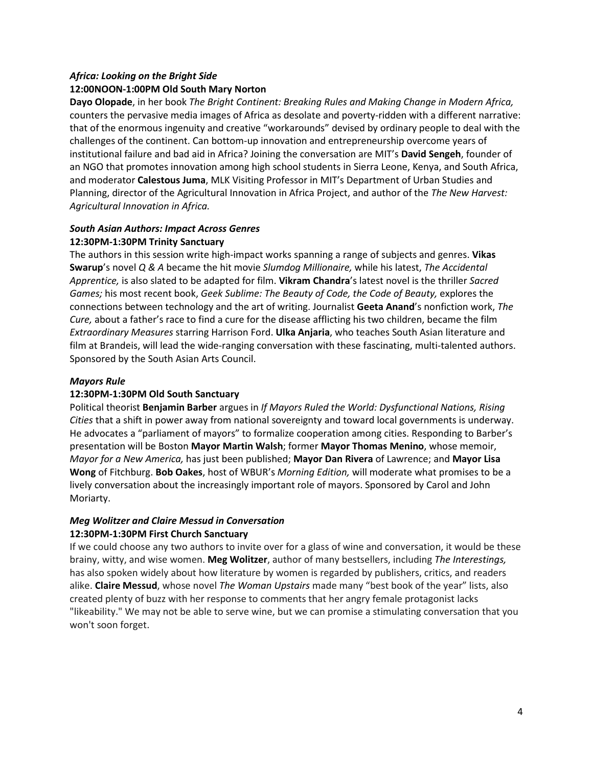# *Africa: Looking on the Bright Side* **12:00NOON-1:00PM Old South Mary Norton**

**Dayo Olopade**, in her book *The Bright Continent: Breaking Rules and Making Change in Modern Africa,* counters the pervasive media images of Africa as desolate and poverty-ridden with a different narrative: that of the enormous ingenuity and creative "workarounds" devised by ordinary people to deal with the challenges of the continent. Can bottom-up innovation and entrepreneurship overcome years of institutional failure and bad aid in Africa? Joining the conversation are MIT's **David Sengeh**, founder of an NGO that promotes innovation among high school students in Sierra Leone, Kenya, and South Africa, and moderator **Calestous Juma**, MLK Visiting Professor in MIT's Department of Urban Studies and Planning, director of the Agricultural Innovation in Africa Project, and author of the *The New Harvest: Agricultural Innovation in Africa.*

# *South Asian Authors: Impact Across Genres* **12:30PM-1:30PM Trinity Sanctuary**

The authors in this session write high-impact works spanning a range of subjects and genres. **Vikas Swarup**'s novel *Q & A* became the hit movie *Slumdog Millionaire,* while his latest, *The Accidental Apprentice,* is also slated to be adapted for film. **Vikram Chandra**'s latest novel is the thriller *Sacred Games;* his most recent book, *Geek Sublime: The Beauty of Code, the Code of Beauty,* explores the connections between technology and the art of writing. Journalist **Geeta Anand**'s nonfiction work, *The Cure,* about a father's race to find a cure for the disease afflicting his two children, became the film *Extraordinary Measures* starring Harrison Ford. **Ulka Anjaria**, who teaches South Asian literature and film at Brandeis, will lead the wide-ranging conversation with these fascinating, multi-talented authors. Sponsored by the South Asian Arts Council.

# *Mayors Rule*

# **12:30PM-1:30PM Old South Sanctuary**

Political theorist **Benjamin Barber** argues in *If Mayors Ruled the World: Dysfunctional Nations, Rising Cities* that a shift in power away from national sovereignty and toward local governments is underway. He advocates a "parliament of mayors" to formalize cooperation among cities. Responding to Barber's presentation will be Boston **Mayor Martin Walsh**; former **Mayor Thomas Menino**, whose memoir, *Mayor for a New America,* has just been published; **Mayor Dan Rivera** of Lawrence; and **Mayor Lisa Wong** of Fitchburg. **Bob Oakes**, host of WBUR's *Morning Edition,* will moderate what promises to be a lively conversation about the increasingly important role of mayors. Sponsored by Carol and John Moriarty.

# *Meg Wolitzer and Claire Messud in Conversation* **12:30PM-1:30PM First Church Sanctuary**

If we could choose any two authors to invite over for a glass of wine and conversation, it would be these brainy, witty, and wise women. **Meg Wolitzer**, author of many bestsellers, including *The Interestings,* has also spoken widely about how literature by women is regarded by publishers, critics, and readers alike. **Claire Messud**, whose novel *The Woman Upstairs* made many "best book of the year" lists, also created plenty of buzz with her response to comments that her angry female protagonist lacks "likeability." We may not be able to serve wine, but we can promise a stimulating conversation that you won't soon forget.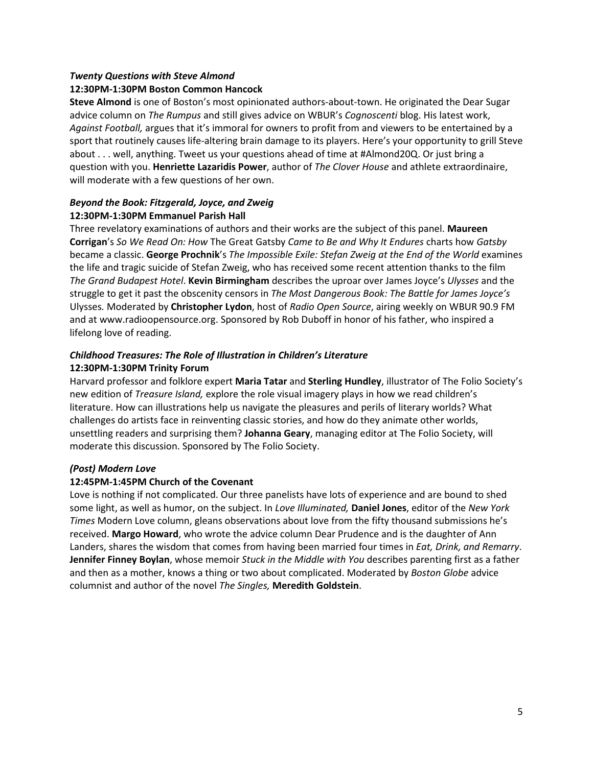#### *Twenty Questions with Steve Almond*

# **12:30PM-1:30PM Boston Common Hancock**

**Steve Almond** is one of Boston's most opinionated authors-about-town. He originated the Dear Sugar advice column on *The Rumpus* and still gives advice on WBUR's *Cognoscenti* blog. His latest work, *Against Football,* argues that it's immoral for owners to profit from and viewers to be entertained by a sport that routinely causes life-altering brain damage to its players. Here's your opportunity to grill Steve about . . . well, anything. Tweet us your questions ahead of time at #Almond20Q. Or just bring a question with you. **Henriette Lazaridis Power**, author of *The Clover House* and athlete extraordinaire, will moderate with a few questions of her own.

# *Beyond the Book: Fitzgerald, Joyce, and Zweig* **12:30PM-1:30PM Emmanuel Parish Hall**

Three revelatory examinations of authors and their works are the subject of this panel. **Maureen Corrigan**'s *So We Read On: How* The Great Gatsby *Came to Be and Why It Endures* charts how *Gatsby* became a classic. **George Prochnik**'s *The Impossible Exile: Stefan Zweig at the End of the World* examines the life and tragic suicide of Stefan Zweig, who has received some recent attention thanks to the film *The Grand Budapest Hotel*. **Kevin Birmingham** describes the uproar over James Joyce's *Ulysses* and the struggle to get it past the obscenity censors in *The Most Dangerous Book: The Battle for James Joyce's*  Ulysses*.* Moderated by **Christopher Lydon**, host of *Radio Open Source*, airing weekly on WBUR 90.9 FM and at www.radioopensource.org. Sponsored by Rob Duboff in honor of his father, who inspired a lifelong love of reading.

# *Childhood Treasures: The Role of Illustration in Children's Literature* **12:30PM-1:30PM Trinity Forum**

Harvard professor and folklore expert **Maria Tatar** and **Sterling Hundley**, illustrator of The Folio Society's new edition of *Treasure Island,* explore the role visual imagery plays in how we read children's literature. How can illustrations help us navigate the pleasures and perils of literary worlds? What challenges do artists face in reinventing classic stories, and how do they animate other worlds, unsettling readers and surprising them? **Johanna Geary**, managing editor at The Folio Society, will moderate this discussion. Sponsored by The Folio Society.

# *(Post) Modern Love*

# **12:45PM-1:45PM Church of the Covenant**

Love is nothing if not complicated. Our three panelists have lots of experience and are bound to shed some light, as well as humor, on the subject. In *Love Illuminated,* **Daniel Jones**, editor of the *New York Times* Modern Love column, gleans observations about love from the fifty thousand submissions he's received. **Margo Howard**, who wrote the advice column Dear Prudence and is the daughter of Ann Landers, shares the wisdom that comes from having been married four times in *Eat, Drink, and Remarry*. **Jennifer Finney Boylan**, whose memoir *Stuck in the Middle with You* describes parenting first as a father and then as a mother, knows a thing or two about complicated. Moderated by *Boston Globe* advice columnist and author of the novel *The Singles,* **Meredith Goldstein**.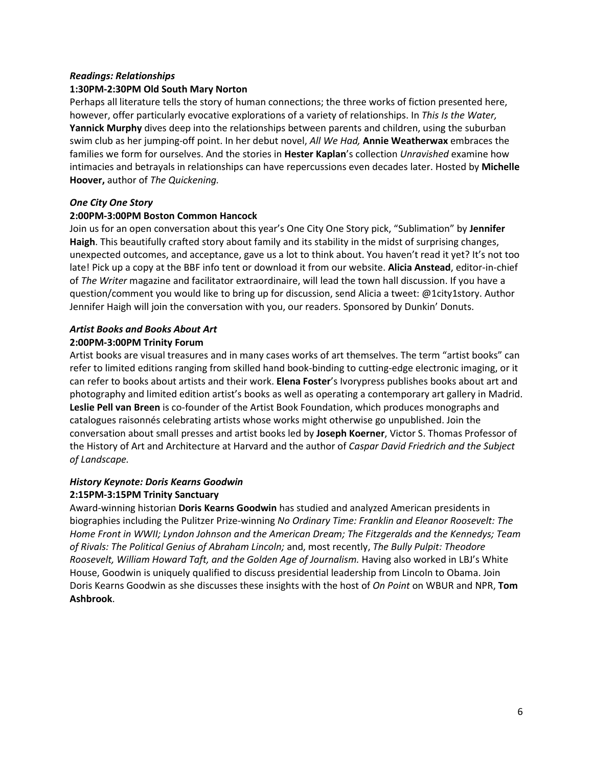#### *Readings: Relationships*

#### **1:30PM-2:30PM Old South Mary Norton**

Perhaps all literature tells the story of human connections; the three works of fiction presented here, however, offer particularly evocative explorations of a variety of relationships. In *This Is the Water,* **Yannick Murphy** dives deep into the relationships between parents and children, using the suburban swim club as her jumping-off point. In her debut novel, *All We Had,* **Annie Weatherwax** embraces the families we form for ourselves. And the stories in **Hester Kaplan**'s collection *Unravished* examine how intimacies and betrayals in relationships can have repercussions even decades later. Hosted by **Michelle Hoover,** author of *The Quickening.*

#### *One City One Story*

#### **2:00PM-3:00PM Boston Common Hancock**

Join us for an open conversation about this year's One City One Story pick, "Sublimation" by **Jennifer Haigh**. This beautifully crafted story about family and its stability in the midst of surprising changes, unexpected outcomes, and acceptance, gave us a lot to think about. You haven't read it yet? It's not too late! Pick up a copy at the BBF info tent or download it from our website. **Alicia Anstead**, editor-in-chief of *The Writer* magazine and facilitator extraordinaire, will lead the town hall discussion. If you have a question/comment you would like to bring up for discussion, send Alicia a tweet: @1city1story. Author Jennifer Haigh will join the conversation with you, our readers. Sponsored by Dunkin' Donuts.

#### *Artist Books and Books About Art* **2:00PM-3:00PM Trinity Forum**

Artist books are visual treasures and in many cases works of art themselves. The term "artist books" can refer to limited editions ranging from skilled hand book-binding to cutting-edge electronic imaging, or it can refer to books about artists and their work. **Elena Foster**'s Ivorypress publishes books about art and photography and limited edition artist's books as well as operating a contemporary art gallery in Madrid. **Leslie Pell van Breen** is co-founder of the Artist Book Foundation, which produces monographs and catalogues raisonnés celebrating artists whose works might otherwise go unpublished. Join the conversation about small presses and artist books led by **Joseph Koerner**, Victor S. Thomas Professor of the History of Art and Architecture at Harvard and the author of *Caspar David Friedrich and the Subject of Landscape.*

# *History Keynote: Doris Kearns Goodwin* **2:15PM-3:15PM Trinity Sanctuary**

Award-winning historian **Doris Kearns Goodwin** has studied and analyzed American presidents in biographies including the Pulitzer Prize-winning *No Ordinary Time: Franklin and Eleanor Roosevelt: The Home Front in WWII; Lyndon Johnson and the American Dream; The Fitzgeralds and the Kennedys; Team of Rivals: The Political Genius of Abraham Lincoln;* and, most recently, *The Bully Pulpit: Theodore Roosevelt, William Howard Taft, and the Golden Age of Journalism.* Having also worked in LBJ's White House, Goodwin is uniquely qualified to discuss presidential leadership from Lincoln to Obama. Join Doris Kearns Goodwin as she discusses these insights with the host of *On Point* on WBUR and NPR, **Tom Ashbrook**.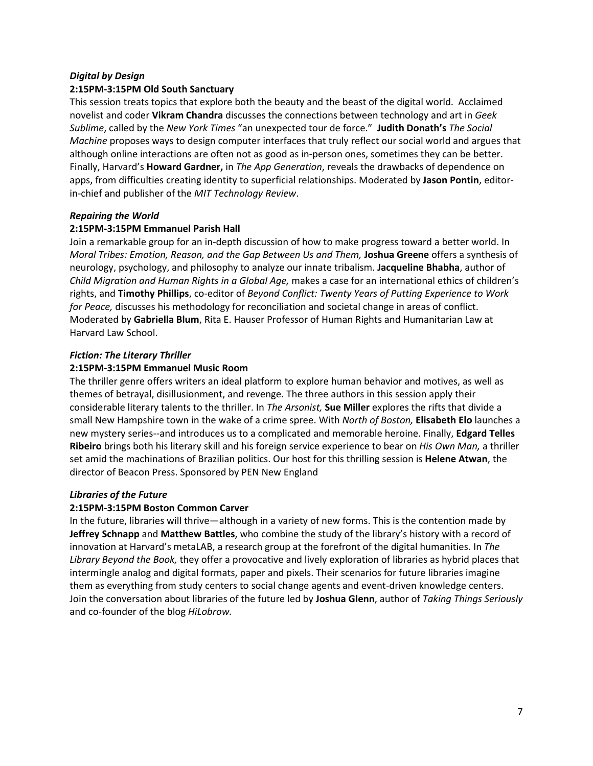#### *Digital by Design*

#### **2:15PM-3:15PM Old South Sanctuary**

This session treats topics that explore both the beauty and the beast of the digital world. Acclaimed novelist and coder **Vikram Chandra** discusses the connections between technology and art in *Geek Sublime*, called by the *New York Times* "an unexpected tour de force." **Judith Donath's** *The Social Machine* proposes ways to design computer interfaces that truly reflect our social world and argues that although online interactions are often not as good as in-person ones, sometimes they can be better. Finally, Harvard's **Howard Gardner,** in *The App Generation*, reveals the drawbacks of dependence on apps, from difficulties creating identity to superficial relationships. Moderated by **Jason Pontin**, editorin-chief and publisher of the *MIT Technology Review*.

#### *Repairing the World*

# **2:15PM-3:15PM Emmanuel Parish Hall**

Join a remarkable group for an in-depth discussion of how to make progress toward a better world. In *Moral Tribes: Emotion, Reason, and the Gap Between Us and Them,* **Joshua Greene** offers a synthesis of neurology, psychology, and philosophy to analyze our innate tribalism. **Jacqueline Bhabha**, author of *Child Migration and Human Rights in a Global Age,* makes a case for an international ethics of children's rights, and **Timothy Phillips**, co-editor of *Beyond Conflict: Twenty Years of Putting Experience to Work for Peace,* discusses his methodology for reconciliation and societal change in areas of conflict. Moderated by **Gabriella Blum**, Rita E. Hauser Professor of Human Rights and Humanitarian Law at Harvard Law School.

# *Fiction: The Literary Thriller*

#### **2:15PM-3:15PM Emmanuel Music Room**

The thriller genre offers writers an ideal platform to explore human behavior and motives, as well as themes of betrayal, disillusionment, and revenge. The three authors in this session apply their considerable literary talents to the thriller. In *The Arsonist,* **Sue Miller** explores the rifts that divide a small New Hampshire town in the wake of a crime spree. With *North of Boston,* **Elisabeth Elo** launches a new mystery series--and introduces us to a complicated and memorable heroine. Finally, **Edgard Telles Ribeiro** brings both his literary skill and his foreign service experience to bear on *His Own Man,* a thriller set amid the machinations of Brazilian politics. Our host for this thrilling session is **Helene Atwan**, the director of Beacon Press. Sponsored by PEN New England

#### *Libraries of the Future*

#### **2:15PM-3:15PM Boston Common Carver**

In the future, libraries will thrive—although in a variety of new forms. This is the contention made by **Jeffrey Schnapp** and **Matthew Battles**, who combine the study of the library's history with a record of innovation at Harvard's metaLAB, a research group at the forefront of the digital humanities. In *The Library Beyond the Book,* they offer a provocative and lively exploration of libraries as hybrid places that intermingle analog and digital formats, paper and pixels. Their scenarios for future libraries imagine them as everything from study centers to social change agents and event-driven knowledge centers. Join the conversation about libraries of the future led by **Joshua Glenn**, author of *Taking Things Seriously* and co-founder of the blog *HiLobrow.*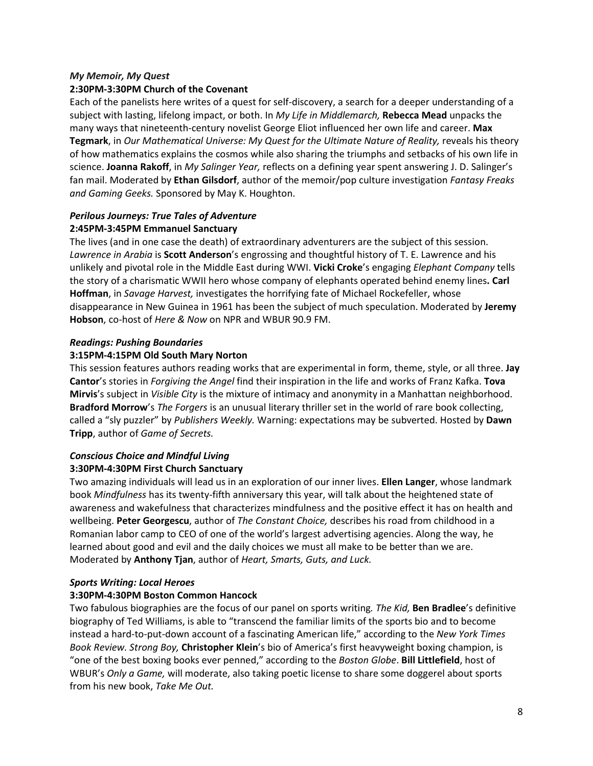# *My Memoir, My Quest*

#### **2:30PM-3:30PM Church of the Covenant**

Each of the panelists here writes of a quest for self-discovery, a search for a deeper understanding of a subject with lasting, lifelong impact, or both. In *My Life in Middlemarch,* **Rebecca Mead** unpacks the many ways that nineteenth-century novelist George Eliot influenced her own life and career. **Max Tegmark**, in *Our Mathematical Universe: My Quest for the Ultimate Nature of Reality,* reveals his theory of how mathematics explains the cosmos while also sharing the triumphs and setbacks of his own life in science. **Joanna Rakoff**, in *My Salinger Year,* reflects on a defining year spent answering J. D. Salinger's fan mail. Moderated by **Ethan Gilsdorf**, author of the memoir/pop culture investigation *Fantasy Freaks and Gaming Geeks.* Sponsored by May K. Houghton.

#### *Perilous Journeys: True Tales of Adventure*  **2:45PM-3:45PM Emmanuel Sanctuary**

The lives (and in one case the death) of extraordinary adventurers are the subject of this session. *Lawrence in Arabia* is **Scott Anderson**'s engrossing and thoughtful history of T. E. Lawrence and his unlikely and pivotal role in the Middle East during WWI. **Vicki Croke**'s engaging *Elephant Company* tells the story of a charismatic WWII hero whose company of elephants operated behind enemy lines**. Carl Hoffman**, in *Savage Harvest,* investigates the horrifying fate of Michael Rockefeller, whose disappearance in New Guinea in 1961 has been the subject of much speculation. Moderated by **Jeremy Hobson**, co-host of *Here & Now* on NPR and WBUR 90.9 FM.

#### *Readings: Pushing Boundaries*

# **3:15PM-4:15PM Old South Mary Norton**

This session features authors reading works that are experimental in form, theme, style, or all three. **Jay Cantor**'s stories in *Forgiving the Angel* find their inspiration in the life and works of Franz Kafka. **Tova Mirvis**'s subject in *Visible City* is the mixture of intimacy and anonymity in a Manhattan neighborhood. **Bradford Morrow**'s *The Forgers* is an unusual literary thriller set in the world of rare book collecting, called a "sly puzzler" by *Publishers Weekly.* Warning: expectations may be subverted. Hosted by **Dawn Tripp**, author of *Game of Secrets.*

# *Conscious Choice and Mindful Living* **3:30PM-4:30PM First Church Sanctuary**

Two amazing individuals will lead us in an exploration of our inner lives. **Ellen Langer**, whose landmark book *Mindfulness* has its twenty-fifth anniversary this year, will talk about the heightened state of awareness and wakefulness that characterizes mindfulness and the positive effect it has on health and wellbeing. **Peter Georgescu**, author of *The Constant Choice,* describes his road from childhood in a Romanian labor camp to CEO of one of the world's largest advertising agencies. Along the way, he learned about good and evil and the daily choices we must all make to be better than we are. Moderated by **Anthony Tjan**, author of *Heart, Smarts, Guts, and Luck.* 

# *Sports Writing: Local Heroes*

# **3:30PM-4:30PM Boston Common Hancock**

Two fabulous biographies are the focus of our panel on sports writing*. The Kid,* **Ben Bradlee**'s definitive biography of Ted Williams, is able to "transcend the familiar limits of the sports bio and to become instead a hard-to-put-down account of a fascinating American life," according to the *New York Times Book Review. Strong Boy,* **Christopher Klein**'s bio of America's first heavyweight boxing champion, is "one of the best boxing books ever penned," according to the *Boston Globe*. **Bill Littlefield**, host of WBUR's *Only a Game,* will moderate, also taking poetic license to share some doggerel about sports from his new book, *Take Me Out.*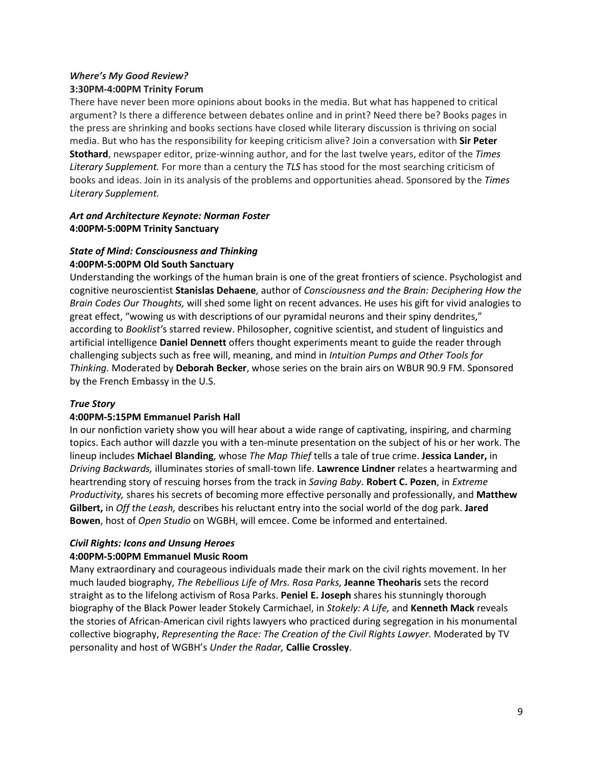# *Where's My Good Review?* **3:30PM-4:00PM Trinity Forum**

There have never been more opinions about books in the media. But what has happened to critical argument? Is there a difference between debates online and in print? Need there be? Books pages in the press are shrinking and books sections have closed while literary discussion is thriving on social media. But who has the responsibility for keeping criticism alive? Join a conversation with **Sir Peter Stothard**, newspaper editor, prize-winning author, and for the last twelve years, editor of the *Times Literary Supplement.* For more than a century the *TLS* has stood for the most searching criticism of books and ideas. Join in its analysis of the problems and opportunities ahead. Sponsored by the *Times Literary Supplement.* 

# *Art and Architecture Keynote: Norman Foster* **4:00PM-5:00PM Trinity Sanctuary**

# *State of Mind: Consciousness and Thinking* **4:00PM-5:00PM Old South Sanctuary**

Understanding the workings of the human brain is one of the great frontiers of science. Psychologist and cognitive neuroscientist **Stanislas Dehaene**, author of *Consciousness and the Brain: Deciphering How the Brain Codes Our Thoughts,* will shed some light on recent advances. He uses his gift for vivid analogies to great effect, "wowing us with descriptions of our pyramidal neurons and their spiny dendrites," according to *Booklist'*s starred review. Philosopher, cognitive scientist, and student of linguistics and artificial intelligence **Daniel Dennett** offers thought experiments meant to guide the reader through challenging subjects such as free will, meaning, and mind in *Intuition Pumps and Other Tools for Thinking.* Moderated by **Deborah Becker**, whose series on the brain airs on WBUR 90.9 FM. Sponsored by the French Embassy in the U.S.

# *True Story*

# **4:00PM-5:15PM Emmanuel Parish Hall**

In our nonfiction variety show you will hear about a wide range of captivating, inspiring, and charming topics. Each author will dazzle you with a ten-minute presentation on the subject of his or her work. The lineup includes **Michael Blanding**, whose *The Map Thief* tells a tale of true crime. **Jessica Lander,** in *Driving Backwards,* illuminates stories of small-town life. **Lawrence Lindner** relates a heartwarming and heartrending story of rescuing horses from the track in *Saving Baby.* **Robert C. Pozen**, in *Extreme Productivity,* shares his secrets of becoming more effective personally and professionally, and **Matthew Gilbert,** in *Off the Leash,* describes his reluctant entry into the social world of the dog park. **Jared Bowen**, host of *Open Studio* on WGBH, will emcee. Come be informed and entertained.

# *Civil Rights: Icons and Unsung Heroes*

#### **4:00PM-5:00PM Emmanuel Music Room**

Many extraordinary and courageous individuals made their mark on the civil rights movement. In her much lauded biography, *The Rebellious Life of Mrs. Rosa Parks,* **Jeanne Theoharis** sets the record straight as to the lifelong activism of Rosa Parks. **Peniel E. Joseph** shares his stunningly thorough biography of the Black Power leader Stokely Carmichael, in *Stokely: A Life,* and **Kenneth Mack** reveals the stories of African-American civil rights lawyers who practiced during segregation in his monumental collective biography, *Representing the Race: The Creation of the Civil Rights Lawyer.* Moderated by TV personality and host of WGBH's *Under the Radar,* **Callie Crossley**.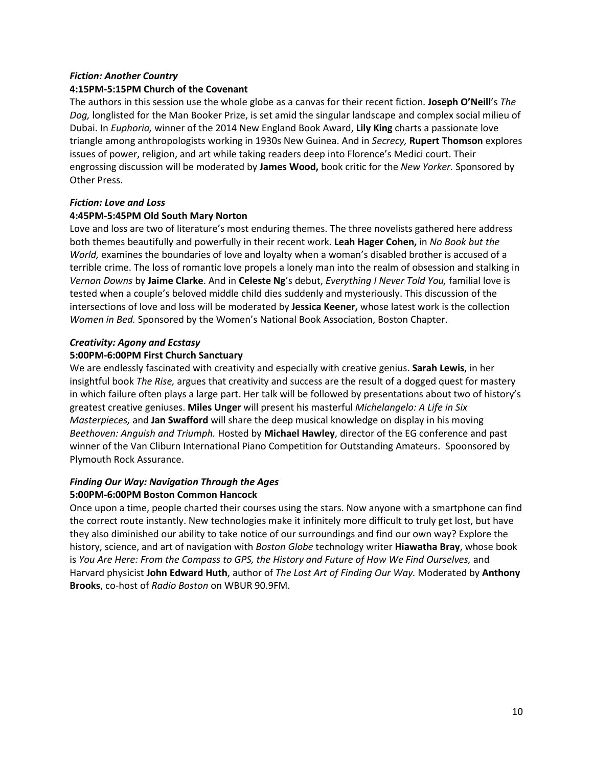#### *Fiction: Another Country*

#### **4:15PM-5:15PM Church of the Covenant**

The authors in this session use the whole globe as a canvas for their recent fiction. **Joseph O'Neill**'s *The Dog,* longlisted for the Man Booker Prize, is set amid the singular landscape and complex social milieu of Dubai. In *Euphoria,* winner of the 2014 New England Book Award, **Lily King** charts a passionate love triangle among anthropologists working in 1930s New Guinea. And in *Secrecy,* **Rupert Thomson** explores issues of power, religion, and art while taking readers deep into Florence's Medici court. Their engrossing discussion will be moderated by **James Wood,** book critic for the *New Yorker.* Sponsored by Other Press.

# *Fiction: Love and Loss*

# **4:45PM-5:45PM Old South Mary Norton**

Love and loss are two of literature's most enduring themes. The three novelists gathered here address both themes beautifully and powerfully in their recent work. **Leah Hager Cohen,** in *No Book but the World,* examines the boundaries of love and loyalty when a woman's disabled brother is accused of a terrible crime. The loss of romantic love propels a lonely man into the realm of obsession and stalking in *Vernon Downs* by **Jaime Clarke**. And in **Celeste Ng**'s debut, *Everything I Never Told You,* familial love is tested when a couple's beloved middle child dies suddenly and mysteriously. This discussion of the intersections of love and loss will be moderated by **Jessica Keener,** whose latest work is the collection *Women in Bed.* Sponsored by the Women's National Book Association, Boston Chapter.

# *Creativity: Agony and Ecstasy*

# **5:00PM-6:00PM First Church Sanctuary**

We are endlessly fascinated with creativity and especially with creative genius. **Sarah Lewis**, in her insightful book *The Rise,* argues that creativity and success are the result of a dogged quest for mastery in which failure often plays a large part. Her talk will be followed by presentations about two of history's greatest creative geniuses. **Miles Unger** will present his masterful *Michelangelo: A Life in Six Masterpieces,* and **Jan Swafford** will share the deep musical knowledge on display in his moving *Beethoven: Anguish and Triumph.* Hosted by **Michael Hawley**, director of the EG conference and past winner of the Van Cliburn International Piano Competition for Outstanding Amateurs. Spoonsored by Plymouth Rock Assurance.

# *Finding Our Way: Navigation Through the Ages*  **5:00PM-6:00PM Boston Common Hancock**

Once upon a time, people charted their courses using the stars. Now anyone with a smartphone can find the correct route instantly. New technologies make it infinitely more difficult to truly get lost, but have they also diminished our ability to take notice of our surroundings and find our own way? Explore the history, science, and art of navigation with *Boston Globe* technology writer **Hiawatha Bray**, whose book is *You Are Here: From the Compass to GPS, the History and Future of How We Find Ourselves,* and Harvard physicist **John Edward Huth**, author of *The Lost Art of Finding Our Way.* Moderated by **Anthony Brooks**, co-host of *Radio Boston* on WBUR 90.9FM.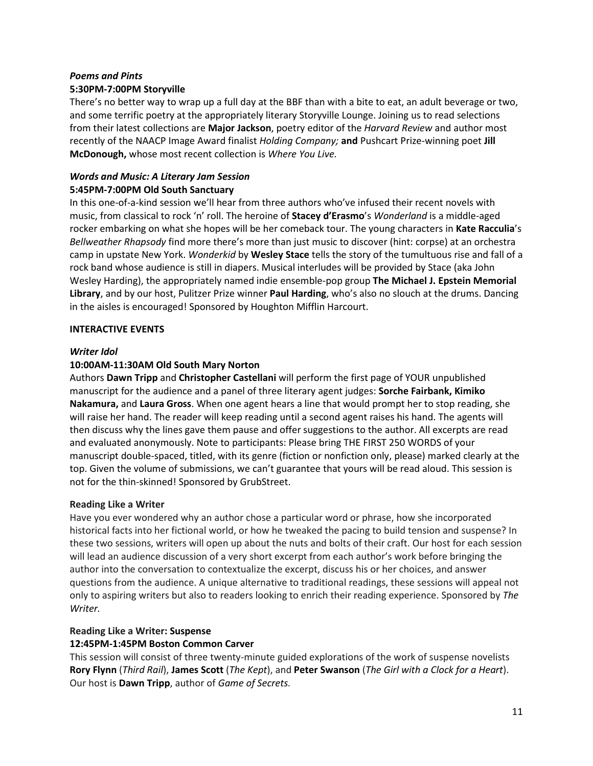#### *Poems and Pints* **5:30PM-7:00PM Storyville**

There's no better way to wrap up a full day at the BBF than with a bite to eat, an adult beverage or two, and some terrific poetry at the appropriately literary Storyville Lounge. Joining us to read selections from their latest collections are **Major Jackson**, poetry editor of the *Harvard Review* and author most recently of the NAACP Image Award finalist *Holding Company;* **and** Pushcart Prize-winning poet **Jill McDonough,** whose most recent collection is *Where You Live.*

# *Words and Music: A Literary Jam Session* **5:45PM-7:00PM Old South Sanctuary**

In this one-of-a-kind session we'll hear from three authors who've infused their recent novels with music, from classical to rock 'n' roll. The heroine of **Stacey d'Erasmo**'s *Wonderland* is a middle-aged rocker embarking on what she hopes will be her comeback tour. The young characters in **Kate Racculia**'s *Bellweather Rhapsody* find more there's more than just music to discover (hint: corpse) at an orchestra camp in upstate New York. *Wonderkid* by **Wesley Stace** tells the story of the tumultuous rise and fall of a rock band whose audience is still in diapers. Musical interludes will be provided by Stace (aka John Wesley Harding), the appropriately named indie ensemble-pop group **The Michael J. Epstein Memorial Library**, and by our host, Pulitzer Prize winner **Paul Harding**, who's also no slouch at the drums. Dancing in the aisles is encouraged! Sponsored by Houghton Mifflin Harcourt.

# **INTERACTIVE EVENTS**

# *Writer Idol*

# **10:00AM-11:30AM Old South Mary Norton**

Authors **Dawn Tripp** and **Christopher Castellani** will perform the first page of YOUR unpublished manuscript for the audience and a panel of three literary agent judges: **Sorche Fairbank, Kimiko Nakamura,** and **Laura Gross**. When one agent hears a line that would prompt her to stop reading, she will raise her hand. The reader will keep reading until a second agent raises his hand. The agents will then discuss why the lines gave them pause and offer suggestions to the author. All excerpts are read and evaluated anonymously. Note to participants: Please bring THE FIRST 250 WORDS of your manuscript double-spaced, titled, with its genre (fiction or nonfiction only, please) marked clearly at the top. Given the volume of submissions, we can't guarantee that yours will be read aloud. This session is not for the thin-skinned! Sponsored by GrubStreet.

# **Reading Like a Writer**

Have you ever wondered why an author chose a particular word or phrase, how she incorporated historical facts into her fictional world, or how he tweaked the pacing to build tension and suspense? In these two sessions, writers will open up about the nuts and bolts of their craft. Our host for each session will lead an audience discussion of a very short excerpt from each author's work before bringing the author into the conversation to contextualize the excerpt, discuss his or her choices, and answer questions from the audience. A unique alternative to traditional readings, these sessions will appeal not only to aspiring writers but also to readers looking to enrich their reading experience. Sponsored by *The Writer.*

# **Reading Like a Writer: Suspense**

# **12:45PM-1:45PM Boston Common Carver**

This session will consist of three twenty-minute guided explorations of the work of suspense novelists **Rory Flynn** (*Third Rail*), **James Scott** (*The Kept*), and **Peter Swanson** (*The Girl with a Clock for a Heart*). Our host is **Dawn Tripp**, author of *Game of Secrets.*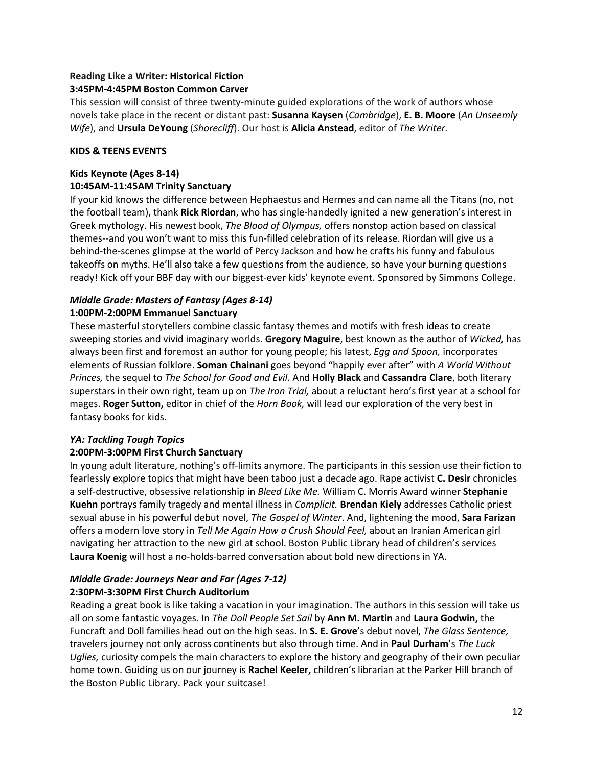#### **Reading Like a Writer: Historical Fiction 3:45PM-4:45PM Boston Common Carver**

This session will consist of three twenty-minute guided explorations of the work of authors whose novels take place in the recent or distant past: **Susanna Kaysen** (*Cambridge*), **E. B. Moore** (*An Unseemly Wife*), and **Ursula DeYoung** (*Shorecliff*). Our host is **Alicia Anstead**, editor of *The Writer.*

# **KIDS & TEENS EVENTS**

# **Kids Keynote (Ages 8-14) 10:45AM-11:45AM Trinity Sanctuary**

If your kid knows the difference between Hephaestus and Hermes and can name all the Titans (no, not the football team), thank **Rick Riordan**, who has single-handedly ignited a new generation's interest in Greek mythology. His newest book, *The Blood of Olympus,* offers nonstop action based on classical themes--and you won't want to miss this fun-filled celebration of its release. Riordan will give us a behind-the-scenes glimpse at the world of Percy Jackson and how he crafts his funny and fabulous takeoffs on myths. He'll also take a few questions from the audience, so have your burning questions ready! Kick off your BBF day with our biggest-ever kids' keynote event. Sponsored by Simmons College.

# *Middle Grade: Masters of Fantasy (Ages 8-14)* **1:00PM-2:00PM Emmanuel Sanctuary**

These masterful storytellers combine classic fantasy themes and motifs with fresh ideas to create sweeping stories and vivid imaginary worlds. **Gregory Maguire**, best known as the author of *Wicked,* has always been first and foremost an author for young people; his latest, *Egg and Spoon,* incorporates elements of Russian folklore. **Soman Chainani** goes beyond "happily ever after" with *A World Without Princes,* the sequel to *The School for Good and Evil.* And **Holly Black** and **Cassandra Clare**, both literary superstars in their own right, team up on *The Iron Trial,* about a reluctant hero's first year at a school for mages. **Roger Sutton,** editor in chief of the *Horn Book,* will lead our exploration of the very best in fantasy books for kids.

# *YA: Tackling Tough Topics*

# **2:00PM-3:00PM First Church Sanctuary**

In young adult literature, nothing's off-limits anymore. The participants in this session use their fiction to fearlessly explore topics that might have been taboo just a decade ago. Rape activist **C. Desir** chronicles a self-destructive, obsessive relationship in *Bleed Like Me.* William C. Morris Award winner **Stephanie Kuehn** portrays family tragedy and mental illness in *Complicit.* **Brendan Kiely** addresses Catholic priest sexual abuse in his powerful debut novel, *The Gospel of Winter*. And, lightening the mood, **Sara Farizan**  offers a modern love story in *Tell Me Again How a Crush Should Feel,* about an Iranian American girl navigating her attraction to the new girl at school. Boston Public Library head of children's services **Laura Koenig** will host a no-holds-barred conversation about bold new directions in YA.

# *Middle Grade: Journeys Near and Far (Ages 7-12)* **2:30PM-3:30PM First Church Auditorium**

Reading a great book is like taking a vacation in your imagination. The authors in this session will take us all on some fantastic voyages. In *The Doll People Set Sail* by **Ann M. Martin** and **Laura Godwin,** the Funcraft and Doll families head out on the high seas. In **S. E. Grove**'s debut novel, *The Glass Sentence,*  travelers journey not only across continents but also through time. And in **Paul Durham**'s *The Luck Uglies,* curiosity compels the main characters to explore the history and geography of their own peculiar home town. Guiding us on our journey is **Rachel Keeler,** children's librarian at the Parker Hill branch of the Boston Public Library. Pack your suitcase!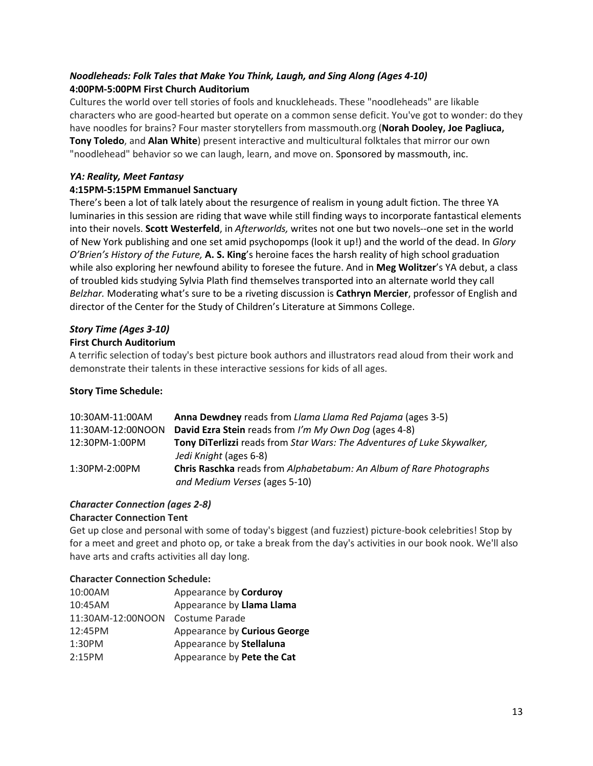# *Noodleheads: Folk Tales that Make You Think, Laugh, and Sing Along (Ages 4-10)* **4:00PM-5:00PM First Church Auditorium**

Cultures the world over tell stories of fools and knuckleheads. These "noodleheads" are likable characters who are good-hearted but operate on a common sense deficit. You've got to wonder: do they have noodles for brains? Four master storytellers from massmouth.org (**Norah Dooley, Joe Pagliuca, Tony Toledo**, and **Alan White**) present interactive and multicultural folktales that mirror our own "noodlehead" behavior so we can laugh, learn, and move on. Sponsored by massmouth, inc.

# *YA: Reality, Meet Fantasy*

# **4:15PM-5:15PM Emmanuel Sanctuary**

There's been a lot of talk lately about the resurgence of realism in young adult fiction. The three YA luminaries in this session are riding that wave while still finding ways to incorporate fantastical elements into their novels. **Scott Westerfeld**, in *Afterworlds,* writes not one but two novels--one set in the world of New York publishing and one set amid psychopomps (look it up!) and the world of the dead. In *Glory O'Brien's History of the Future,* **A. S. King**'s heroine faces the harsh reality of high school graduation while also exploring her newfound ability to foresee the future. And in **Meg Wolitzer**'s YA debut, a class of troubled kids studying Sylvia Plath find themselves transported into an alternate world they call *Belzhar.* Moderating what's sure to be a riveting discussion is **Cathryn Mercier**, professor of English and director of the Center for the Study of Children's Literature at Simmons College.

# *Story Time (Ages 3-10)*

#### **First Church Auditorium**

A terrific selection of today's best picture book authors and illustrators read aloud from their work and demonstrate their talents in these interactive sessions for kids of all ages.

#### **Story Time Schedule:**

| 10:30AM-11:00AM   | Anna Dewdney reads from Llama Llama Red Pajama (ages 3-5)                                            |
|-------------------|------------------------------------------------------------------------------------------------------|
| 11:30AM-12:00NOON | David Ezra Stein reads from I'm My Own Dog (ages 4-8)                                                |
| 12:30PM-1:00PM    | Tony DiTerlizzi reads from Star Wars: The Adventures of Luke Skywalker,                              |
|                   | Jedi Knight (ages 6-8)                                                                               |
| 1:30PM-2:00PM     | Chris Raschka reads from Alphabetabum: An Album of Rare Photographs<br>and Medium Verses (ages 5-10) |

# *Character Connection (ages 2-8)*

#### **Character Connection Tent**

Get up close and personal with some of today's biggest (and fuzziest) picture-book celebrities! Stop by for a meet and greet and photo op, or take a break from the day's activities in our book nook. We'll also have arts and crafts activities all day long.

#### **Character Connection Schedule:**

| 10:00AM           | Appearance by Corduroy       |
|-------------------|------------------------------|
| 10:45AM           | Appearance by Llama Llama    |
| 11:30AM-12:00NOON | Costume Parade               |
| 12:45PM           | Appearance by Curious George |
| 1:30PM            | Appearance by Stellaluna     |
| 2:15PM            | Appearance by Pete the Cat   |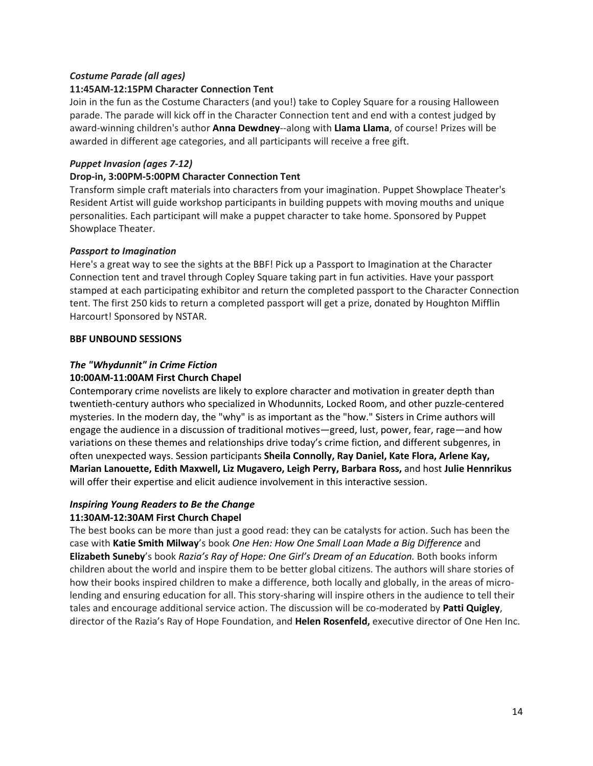# *Costume Parade (all ages)*

# **11:45AM-12:15PM Character Connection Tent**

Join in the fun as the Costume Characters (and you!) take to Copley Square for a rousing Halloween parade. The parade will kick off in the Character Connection tent and end with a contest judged by award-winning children's author **Anna Dewdney**--along with **Llama Llama**, of course! Prizes will be awarded in different age categories, and all participants will receive a free gift.

# *Puppet Invasion (ages 7-12)*

#### **Drop-in, 3:00PM-5:00PM Character Connection Tent**

Transform simple craft materials into characters from your imagination. Puppet Showplace Theater's Resident Artist will guide workshop participants in building puppets with moving mouths and unique personalities. Each participant will make a puppet character to take home. Sponsored by Puppet Showplace Theater.

# *Passport to Imagination*

Here's a great way to see the sights at the BBF! Pick up a Passport to Imagination at the Character Connection tent and travel through Copley Square taking part in fun activities. Have your passport stamped at each participating exhibitor and return the completed passport to the Character Connection tent. The first 250 kids to return a completed passport will get a prize, donated by Houghton Mifflin Harcourt! Sponsored by NSTAR.

#### **BBF UNBOUND SESSIONS**

# *The "Whydunnit" in Crime Fiction*

# **10:00AM-11:00AM First Church Chapel**

Contemporary crime novelists are likely to explore character and motivation in greater depth than twentieth-century authors who specialized in Whodunnits, Locked Room, and other puzzle-centered mysteries. In the modern day, the "why" is as important as the "how." Sisters in Crime authors will engage the audience in a discussion of traditional motives—greed, lust, power, fear, rage—and how variations on these themes and relationships drive today's crime fiction, and different subgenres, in often unexpected ways. Session participants **Sheila Connolly, Ray Daniel, Kate Flora, Arlene Kay, Marian Lanouette, Edith Maxwell, Liz Mugavero, Leigh Perry, Barbara Ross,** and host **Julie Hennrikus** will offer their expertise and elicit audience involvement in this interactive session.

#### *Inspiring Young Readers to Be the Change* **11:30AM-12:30AM First Church Chapel**

The best books can be more than just a good read: they can be catalysts for action. Such has been the case with **Katie Smith Milway**'s book *One Hen: How One Small Loan Made a Big Difference* and **Elizabeth Suneby**'s book *Razia's Ray of Hope: One Girl's Dream of an Education.* Both books inform children about the world and inspire them to be better global citizens. The authors will share stories of how their books inspired children to make a difference, both locally and globally, in the areas of microlending and ensuring education for all. This story-sharing will inspire others in the audience to tell their tales and encourage additional service action. The discussion will be co-moderated by **Patti Quigley**, director of the Razia's Ray of Hope Foundation, and **Helen Rosenfeld,** executive director of One Hen Inc.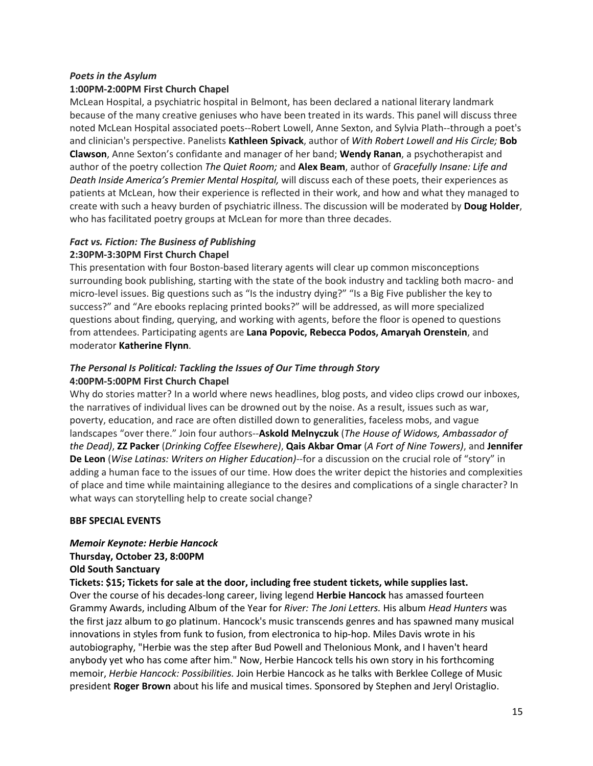# *Poets in the Asylum*

#### **1:00PM-2:00PM First Church Chapel**

McLean Hospital, a psychiatric hospital in Belmont, has been declared a national literary landmark because of the many creative geniuses who have been treated in its wards. This panel will discuss three noted McLean Hospital associated poets--Robert Lowell, Anne Sexton, and Sylvia Plath--through a poet's and clinician's perspective. Panelists **Kathleen Spivack**, author of *With Robert Lowell and His Circle;* **Bob Clawson**, Anne Sexton's confidante and manager of her band; **Wendy Ranan**, a psychotherapist and author of the poetry collection *The Quiet Room;* and **Alex Beam**, author of *Gracefully Insane: Life and Death Inside America's Premier Mental Hospital,* will discuss each of these poets, their experiences as patients at McLean, how their experience is reflected in their work, and how and what they managed to create with such a heavy burden of psychiatric illness. The discussion will be moderated by **Doug Holder**, who has facilitated poetry groups at McLean for more than three decades.

#### *Fact vs. Fiction: The Business of Publishing* **2:30PM-3:30PM First Church Chapel**

This presentation with four Boston-based literary agents will clear up common misconceptions surrounding book publishing, starting with the state of the book industry and tackling both macro- and micro-level issues. Big questions such as "Is the industry dying?" "Is a Big Five publisher the key to success?" and "Are ebooks replacing printed books?" will be addressed, as will more specialized questions about finding, querying, and working with agents, before the floor is opened to questions from attendees. Participating agents are **Lana Popovic, Rebecca Podos, Amaryah Orenstein**, and moderator **Katherine Flynn**.

#### *The Personal Is Political: Tackling the Issues of Our Time through Story* **4:00PM-5:00PM First Church Chapel**

Why do stories matter? In a world where news headlines, blog posts, and video clips crowd our inboxes, the narratives of individual lives can be drowned out by the noise. As a result, issues such as war, poverty, education, and race are often distilled down to generalities, faceless mobs, and vague landscapes "over there." Join four authors--**Askold Melnyczuk** (*The House of Widows, Ambassador of the Dead)*, **ZZ Packer** (*Drinking Coffee Elsewhere)*, **Qais Akbar Omar** (*A Fort of Nine Towers)*, and **Jennifer De Leon** (*Wise Latinas: Writers on Higher Education)*--for a discussion on the crucial role of "story" in adding a human face to the issues of our time. How does the writer depict the histories and complexities of place and time while maintaining allegiance to the desires and complications of a single character? In what ways can storytelling help to create social change?

#### **BBF SPECIAL EVENTS**

# *Memoir Keynote: Herbie Hancock* **Thursday, October 23, 8:00PM**

#### **Old South Sanctuary**

**Tickets: \$15; Tickets for sale at the door, including free student tickets, while supplies last.** 

Over the course of his decades-long career, living legend **Herbie Hancock** has amassed fourteen Grammy Awards, including Album of the Year for *River: The Joni Letters.* His album *Head Hunters* was the first jazz album to go platinum. Hancock's music transcends genres and has spawned many musical innovations in styles from funk to fusion, from electronica to hip-hop. Miles Davis wrote in his autobiography, "Herbie was the step after Bud Powell and Thelonious Monk, and I haven't heard anybody yet who has come after him." Now, Herbie Hancock tells his own story in his forthcoming memoir, *Herbie Hancock: Possibilities.* Join Herbie Hancock as he talks with Berklee College of Music president **Roger Brown** about his life and musical times. Sponsored by Stephen and Jeryl Oristaglio.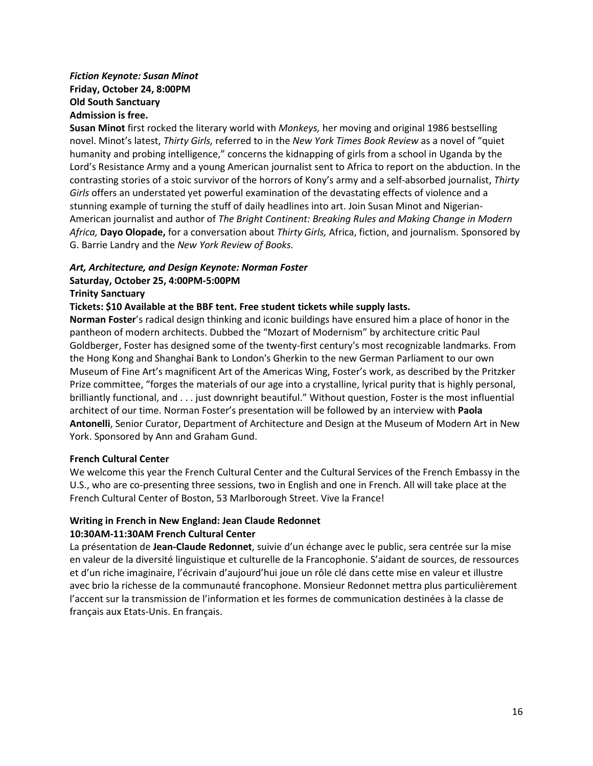# *Fiction Keynote: Susan Minot* **Friday, October 24, 8:00PM Old South Sanctuary Admission is free.**

**Susan Minot** first rocked the literary world with *Monkeys,* her moving and original 1986 bestselling novel. Minot's latest, *Thirty Girls,* referred to in the *New York Times Book Review* as a novel of "quiet humanity and probing intelligence," concerns the kidnapping of girls from a school in Uganda by the Lord's Resistance Army and a young American journalist sent to Africa to report on the abduction. In the contrasting stories of a stoic survivor of the horrors of Kony's army and a self-absorbed journalist, *Thirty Girls* offers an understated yet powerful examination of the devastating effects of violence and a stunning example of turning the stuff of daily headlines into art. Join Susan Minot and Nigerian-American journalist and author of *The Bright Continent: Breaking Rules and Making Change in Modern Africa,* **Dayo Olopade,** for a conversation about *Thirty Girls,* Africa, fiction, and journalism. Sponsored by G. Barrie Landry and the *New York Review of Books.*

# *Art, Architecture, and Design Keynote: Norman Foster*

# **Saturday, October 25, 4:00PM-5:00PM**

#### **Trinity Sanctuary**

#### **Tickets: \$10 Available at the BBF tent. Free student tickets while supply lasts.**

**Norman Foster**'s radical design thinking and iconic buildings have ensured him a place of honor in the pantheon of modern architects. Dubbed the "Mozart of Modernism" by architecture critic Paul Goldberger, Foster has designed some of the twenty-first century's most recognizable landmarks. From the Hong Kong and Shanghai Bank to London's Gherkin to the new German Parliament to our own Museum of Fine Art's magnificent Art of the Americas Wing, Foster's work, as described by the Pritzker Prize committee, "forges the materials of our age into a crystalline, lyrical purity that is highly personal, brilliantly functional, and . . . just downright beautiful." Without question, Foster is the most influential architect of our time. Norman Foster's presentation will be followed by an interview with **Paola Antonelli**, Senior Curator, Department of Architecture and Design at the Museum of Modern Art in New York. Sponsored by Ann and Graham Gund.

#### **French Cultural Center**

We welcome this year the French Cultural Center and the Cultural Services of the French Embassy in the U.S., who are co-presenting three sessions, two in English and one in French. All will take place at the French Cultural Center of Boston, 53 Marlborough Street. Vive la France!

#### **Writing in French in New England: Jean Claude Redonnet 10:30AM-11:30AM French Cultural Center**

La présentation de **Jean-Claude Redonnet**, suivie d'un échange avec le public, sera centrée sur la mise en valeur de la diversité linguistique et culturelle de la Francophonie. S'aidant de sources, de ressources et d'un riche imaginaire, l'écrivain d'aujourd'hui joue un rôle clé dans cette mise en valeur et illustre avec brio la richesse de la communauté francophone. Monsieur Redonnet mettra plus particulièrement l'accent sur la transmission de l'information et les formes de communication destinées à la classe de français aux Etats-Unis. En français.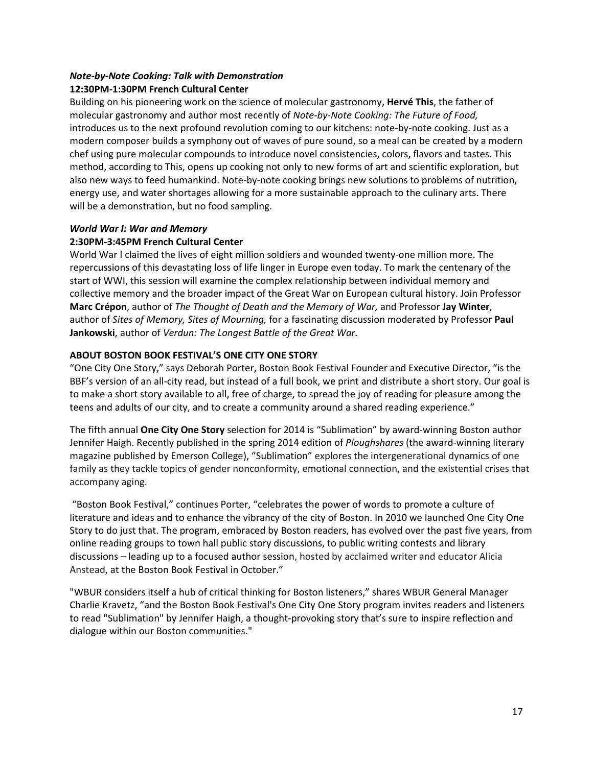#### *Note-by-Note Cooking: Talk with Demonstration* **12:30PM-1:30PM French Cultural Center**

Building on his pioneering work on the science of molecular gastronomy, **Hervé This**, the father of molecular gastronomy and author most recently of *Note-by-Note Cooking: The Future of Food,* introduces us to the next profound revolution coming to our kitchens: note-by-note cooking. Just as a modern composer builds a symphony out of waves of pure sound, so a meal can be created by a modern chef using pure molecular compounds to introduce novel consistencies, colors, flavors and tastes. This method, according to This, opens up cooking not only to new forms of art and scientific exploration, but also new ways to feed humankind. Note-by-note cooking brings new solutions to problems of nutrition, energy use, and water shortages allowing for a more sustainable approach to the culinary arts. There will be a demonstration, but no food sampling.

# *World War I: War and Memory*

# **2:30PM-3:45PM French Cultural Center**

World War I claimed the lives of eight million soldiers and wounded twenty-one million more. The repercussions of this devastating loss of life linger in Europe even today. To mark the centenary of the start of WWI, this session will examine the complex relationship between individual memory and collective memory and the broader impact of the Great War on European cultural history. Join Professor **Marc Crépon**, author of *The Thought of Death and the Memory of War,* and Professor **Jay Winter**, author of *Sites of Memory, Sites of Mourning,* for a fascinating discussion moderated by Professor **Paul Jankowski**, author of *Verdun: The Longest Battle of the Great War.* 

# **ABOUT BOSTON BOOK FESTIVAL'S ONE CITY ONE STORY**

"One City One Story," says Deborah Porter, Boston Book Festival Founder and Executive Director, "is the BBF's version of an all-city read, but instead of a full book, we print and distribute a short story. Our goal is to make a short story available to all, free of charge, to spread the joy of reading for pleasure among the teens and adults of our city, and to create a community around a shared reading experience."

The fifth annual **One City One Story** selection for 2014 is "Sublimation" by award-winning Boston author Jennifer Haigh. Recently published in the spring 2014 edition of *Ploughshares* (the award-winning literary magazine published by Emerson College), "Sublimation" explores the intergenerational dynamics of one family as they tackle topics of gender nonconformity, emotional connection, and the existential crises that accompany aging.

 "Boston Book Festival," continues Porter, "celebrates the power of words to promote a culture of literature and ideas and to enhance the vibrancy of the city of Boston. In 2010 we launched One City One Story to do just that. The program, embraced by Boston readers, has evolved over the past five years, from online reading groups to town hall public story discussions, to public writing contests and library discussions – leading up to a focused author session, hosted by acclaimed writer and educator Alicia Anstead, at the Boston Book Festival in October."

"WBUR considers itself a hub of critical thinking for Boston listeners," shares WBUR General Manager Charlie Kravetz, "and the Boston Book Festival's One City One Story program invites readers and listeners to read "Sublimation" by Jennifer Haigh, a thought-provoking story that's sure to inspire reflection and dialogue within our Boston communities."